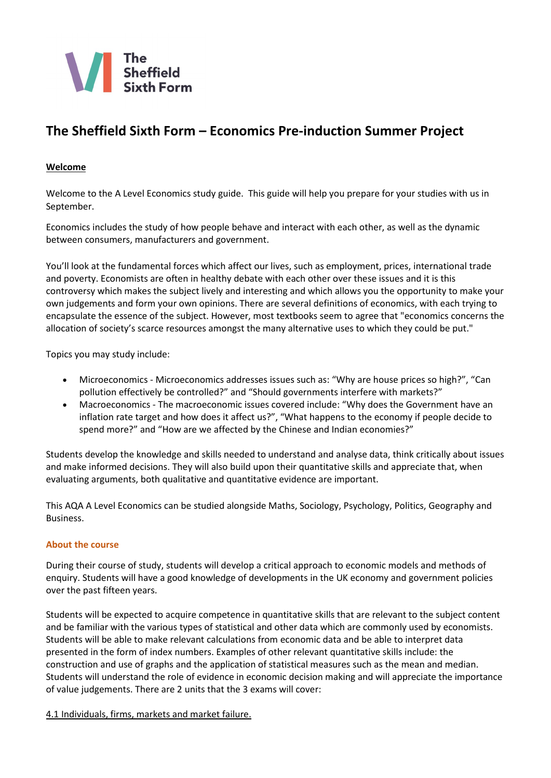

# **The Sheffield Sixth Form – Economics Pre-induction Summer Project**

# **Welcome**

Welcome to the A Level Economics study guide. This guide will help you prepare for your studies with us in September.

Economics includes the study of how people behave and interact with each other, as well as the dynamic between consumers, manufacturers and government.

You'll look at the fundamental forces which affect our lives, such as employment, prices, international trade and poverty. Economists are often in healthy debate with each other over these issues and it is this controversy which makes the subject lively and interesting and which allows you the opportunity to make your own judgements and form your own opinions. There are several definitions of economics, with each trying to encapsulate the essence of the subject. However, most textbooks seem to agree that "economics concerns the allocation of society's scarce resources amongst the many alternative uses to which they could be put."

Topics you may study include:

- Microeconomics Microeconomics addresses issues such as: "Why are house prices so high?", "Can pollution effectively be controlled?" and "Should governments interfere with markets?"
- Macroeconomics The macroeconomic issues covered include: "Why does the Government have an inflation rate target and how does it affect us?", "What happens to the economy if people decide to spend more?" and "How are we affected by the Chinese and Indian economies?"

Students develop the knowledge and skills needed to understand and analyse data, think critically about issues and make informed decisions. They will also build upon their quantitative skills and appreciate that, when evaluating arguments, both qualitative and quantitative evidence are important.

This AQA A Level Economics can be studied alongside Maths, Sociology, Psychology, Politics, Geography and Business.

# **About the course**

During their course of study, students will develop a critical approach to economic models and methods of enquiry. Students will have a good knowledge of developments in the UK economy and government policies over the past fifteen years.

Students will be expected to acquire competence in quantitative skills that are relevant to the subject content and be familiar with the various types of statistical and other data which are commonly used by economists. Students will be able to make relevant calculations from economic data and be able to interpret data presented in the form of index numbers. Examples of other relevant quantitative skills include: the construction and use of graphs and the application of statistical measures such as the mean and median. Students will understand the role of evidence in economic decision making and will appreciate the importance of value judgements. There are 2 units that the 3 exams will cover:

4.1 Individuals, firms, markets and market failure.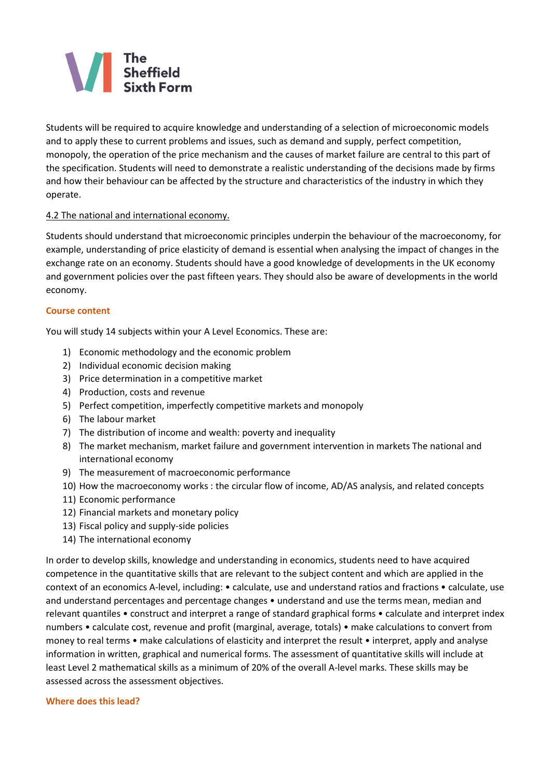# The<br>Sheffield

Students will be required to acquire knowledge and understanding of a selection of microeconomic models and to apply these to current problems and issues, such as demand and supply, perfect competition, monopoly, the operation of the price mechanism and the causes of market failure are central to this part of the specification. Students will need to demonstrate a realistic understanding of the decisions made by firms and how their behaviour can be affected by the structure and characteristics of the industry in which they operate.

# 4.2 The national and international economy.

Students should understand that microeconomic principles underpin the behaviour of the macroeconomy, for example, understanding of price elasticity of demand is essential when analysing the impact of changes in the exchange rate on an economy. Students should have a good knowledge of developments in the UK economy and government policies over the past fifteen years. They should also be aware of developments in the world economy.

# **Course content**

You will study 14 subjects within your A Level Economics. These are:

- 1) Economic methodology and the economic problem
- 2) Individual economic decision making
- 3) Price determination in a competitive market
- 4) Production, costs and revenue
- 5) Perfect competition, imperfectly competitive markets and monopoly
- 6) The labour market
- 7) The distribution of income and wealth: poverty and inequality
- 8) The market mechanism, market failure and government intervention in markets The national and international economy
- 9) The measurement of macroeconomic performance
- 10) How the macroeconomy works : the circular flow of income, AD/AS analysis, and related concepts
- 11) Economic performance
- 12) Financial markets and monetary policy
- 13) Fiscal policy and supply-side policies
- 14) The international economy

In order to develop skills, knowledge and understanding in economics, students need to have acquired competence in the quantitative skills that are relevant to the subject content and which are applied in the context of an economics A-level, including: • calculate, use and understand ratios and fractions • calculate, use and understand percentages and percentage changes • understand and use the terms mean, median and relevant quantiles • construct and interpret a range of standard graphical forms • calculate and interpret index numbers • calculate cost, revenue and profit (marginal, average, totals) • make calculations to convert from money to real terms • make calculations of elasticity and interpret the result • interpret, apply and analyse information in written, graphical and numerical forms. The assessment of quantitative skills will include at least Level 2 mathematical skills as a minimum of 20% of the overall A-level marks. These skills may be assessed across the assessment objectives.

#### **Where does this lead?**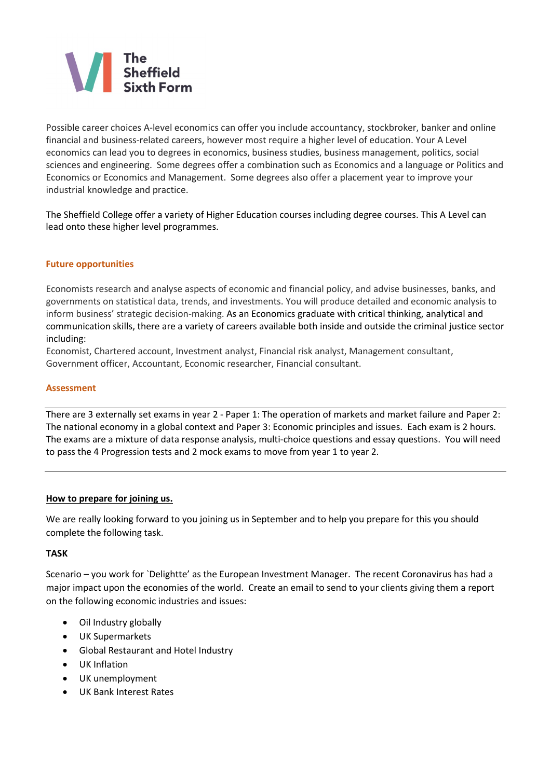

Possible career choices A-level economics can offer you include accountancy, stockbroker, banker and online financial and business-related careers, however most require a higher level of education. Your A Level economics can lead you to degrees in economics, business studies, business management, politics, social sciences and engineering. Some degrees offer a combination such as Economics and a language or Politics and Economics or Economics and Management. Some degrees also offer a placement year to improve your industrial knowledge and practice.

The Sheffield College offer a variety of Higher Education courses including degree courses. This A Level can lead onto these higher level programmes.

# **Future opportunities**

Economists research and analyse aspects of economic and financial policy, and advise businesses, banks, and governments on statistical data, trends, and investments. You will produce detailed and economic analysis to inform business' strategic decision-making. As an Economics graduate with critical thinking, analytical and communication skills, there are a variety of careers available both inside and outside the criminal justice sector including:

Economist, Chartered account, Investment analyst, Financial risk analyst, Management consultant, Government officer, Accountant, Economic researcher, Financial consultant.

# **Assessment**

There are 3 externally set exams in year 2 - Paper 1: The operation of markets and market failure and Paper 2: The national economy in a global context and Paper 3: Economic principles and issues. Each exam is 2 hours. The exams are a mixture of data response analysis, multi-choice questions and essay questions. You will need to pass the 4 Progression tests and 2 mock exams to move from year 1 to year 2.

# **How to prepare for joining us.**

We are really looking forward to you joining us in September and to help you prepare for this you should complete the following task.

# **TASK**

Scenario – you work for `Delightte' as the European Investment Manager. The recent Coronavirus has had a major impact upon the economies of the world. Create an email to send to your clients giving them a report on the following economic industries and issues:

- Oil Industry globally
- UK Supermarkets
- Global Restaurant and Hotel Industry
- UK Inflation
- UK unemployment
- UK Bank Interest Rates